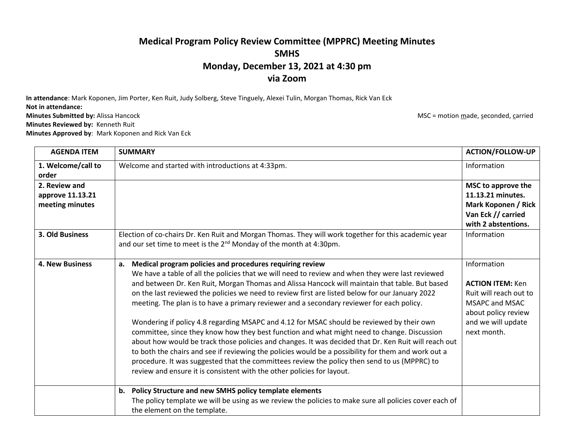## **Medical Program Policy Review Committee (MPPRC) Meeting Minutes SMHS Monday, December 13, 2021 at 4:30 pm via Zoom**

**In attendance**: Mark Koponen, Jim Porter, Ken Ruit, Judy Solberg, Steve Tinguely, Alexei Tulin, Morgan Thomas, Rick Van Eck

**Not in attendance:**

**Minutes Reviewed by:** Kenneth Ruit

**Minutes Approved by**: Mark Koponen and Rick Van Eck

**Minutes Submitted by:** Alissa Hancock **MSC = motion made, seconded, carried** MSC = motion made, seconded, carried

| <b>AGENDA ITEM</b>                                   | <b>SUMMARY</b>                                                                                                                                                                                                                                                                                                                                                                                                                                                                                                                                                                                                                                                                                                                                                                                                                                                                                                                                                                                                                                            | <b>ACTION/FOLLOW-UP</b>                                                                                                                        |
|------------------------------------------------------|-----------------------------------------------------------------------------------------------------------------------------------------------------------------------------------------------------------------------------------------------------------------------------------------------------------------------------------------------------------------------------------------------------------------------------------------------------------------------------------------------------------------------------------------------------------------------------------------------------------------------------------------------------------------------------------------------------------------------------------------------------------------------------------------------------------------------------------------------------------------------------------------------------------------------------------------------------------------------------------------------------------------------------------------------------------|------------------------------------------------------------------------------------------------------------------------------------------------|
| 1. Welcome/call to<br>order                          | Welcome and started with introductions at 4:33pm.                                                                                                                                                                                                                                                                                                                                                                                                                                                                                                                                                                                                                                                                                                                                                                                                                                                                                                                                                                                                         | Information                                                                                                                                    |
| 2. Review and<br>approve 11.13.21<br>meeting minutes |                                                                                                                                                                                                                                                                                                                                                                                                                                                                                                                                                                                                                                                                                                                                                                                                                                                                                                                                                                                                                                                           | MSC to approve the<br>11.13.21 minutes.<br><b>Mark Koponen / Rick</b><br>Van Eck // carried<br>with 2 abstentions.                             |
| 3. Old Business                                      | Election of co-chairs Dr. Ken Ruit and Morgan Thomas. They will work together for this academic year<br>and our set time to meet is the $2^{nd}$ Monday of the month at 4:30pm.                                                                                                                                                                                                                                                                                                                                                                                                                                                                                                                                                                                                                                                                                                                                                                                                                                                                           | Information                                                                                                                                    |
| <b>4. New Business</b>                               | Medical program policies and procedures requiring review<br>a.<br>We have a table of all the policies that we will need to review and when they were last reviewed<br>and between Dr. Ken Ruit, Morgan Thomas and Alissa Hancock will maintain that table. But based<br>on the last reviewed the policies we need to review first are listed below for our January 2022<br>meeting. The plan is to have a primary reviewer and a secondary reviewer for each policy.<br>Wondering if policy 4.8 regarding MSAPC and 4.12 for MSAC should be reviewed by their own<br>committee, since they know how they best function and what might need to change. Discussion<br>about how would be track those policies and changes. It was decided that Dr. Ken Ruit will reach out<br>to both the chairs and see if reviewing the policies would be a possibility for them and work out a<br>procedure. It was suggested that the committees review the policy then send to us (MPPRC) to<br>review and ensure it is consistent with the other policies for layout. | Information<br><b>ACTION ITEM: Ken</b><br>Ruit will reach out to<br>MSAPC and MSAC<br>about policy review<br>and we will update<br>next month. |
|                                                      | Policy Structure and new SMHS policy template elements<br>b.<br>The policy template we will be using as we review the policies to make sure all policies cover each of<br>the element on the template.                                                                                                                                                                                                                                                                                                                                                                                                                                                                                                                                                                                                                                                                                                                                                                                                                                                    |                                                                                                                                                |